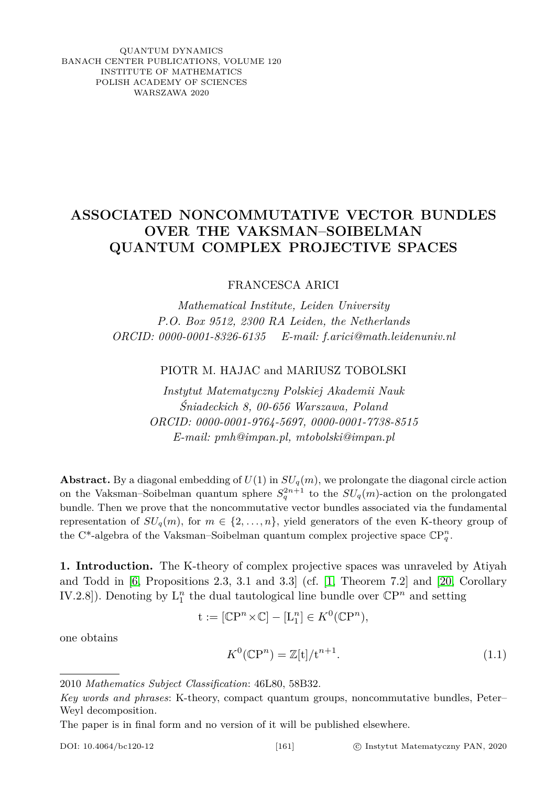QUANTUM DYNAMICS BANACH CENTER PUBLICATIONS, VOLUME 120 INSTITUTE OF MATHEMATICS POLISH ACADEMY OF SCIENCES WARSZAWA 2020

## **ASSOCIATED NONCOMMUTATIVE VECTOR BUNDLES OVER THE VAKSMAN–SOIBELMAN QUANTUM COMPLEX PROJECTIVE SPACES**

FRANCESCA ARICI

*Mathematical Institute, Leiden University P.O. Box 9512, 2300 RA Leiden, the Netherlands ORCID: 0000-0001-8326-6135 E-mail: f.arici@math.leidenuniv.nl*

PIOTR M. HAJAC and MARIUSZ TOBOLSKI

*Instytut Matematyczny Polskiej Akademii Nauk Śniadeckich 8, 00-656 Warszawa, Poland ORCID: 0000-0001-9764-5697, 0000-0001-7738-8515 E-mail: pmh@impan.pl, mtobolski@impan.pl*

**Abstract.** By a diagonal embedding of  $U(1)$  in  $SU_q(m)$ , we prolongate the diagonal circle action on the Vaksman–Soibelman quantum sphere  $S_q^{2n+1}$  to the  $SU_q(m)$ -action on the prolongated bundle. Then we prove that the noncommutative vector bundles associated via the fundamental representation of  $SU_q(m)$ , for  $m \in \{2, ..., n\}$ , yield generators of the even K-theory group of the C<sup>\*</sup>-algebra of the Vaksman–Soibelman quantum complex projective space  $\mathbb{C}P_q^n$ .

**1. Introduction.** The K-theory of complex projective spaces was unraveled by Atiyah and Todd in [\[6,](#page-6-0) Propositions 2.3, 3.1 and 3.3] (cf. [\[1,](#page-6-1) Theorem 7.2] and [\[20,](#page-6-2) Corollary IV.2.8]). Denoting by  $L_1^n$  the dual tautological line bundle over  $\mathbb{C}P^n$  and setting

$$
\mathbf{t} := [\mathbb{C}\mathbf{P}^n \times \mathbb{C}] - [\mathbf{L}_1^n] \in K^0(\mathbb{C}\mathbf{P}^n),
$$

<span id="page-0-0"></span>one obtains

$$
K^0(\mathbb{C}\mathbb{P}^n) = \mathbb{Z}[\mathbf{t}]/\mathbf{t}^{n+1}.\tag{1.1}
$$

The paper is in final form and no version of it will be published elsewhere.

<sup>2010</sup> *Mathematics Subject Classification*: 46L80, 58B32.

*Key words and phrases*: K-theory, compact quantum groups, noncommutative bundles, Peter– Weyl decomposition.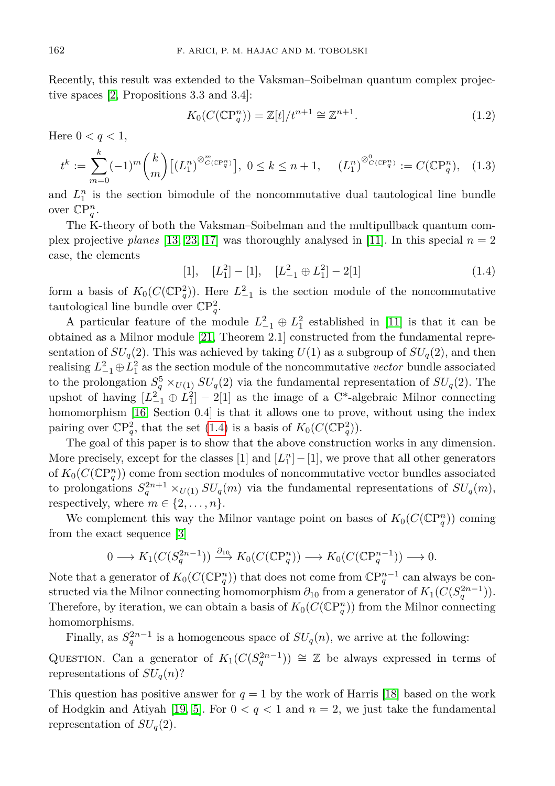Recently, this result was extended to the Vaksman–Soibelman quantum complex projective spaces [\[2,](#page-6-3) Propositions 3.3 and 3.4]:

<span id="page-1-2"></span><span id="page-1-1"></span>
$$
K_0(C(\mathbb{C}\mathbb{P}_q^n)) = \mathbb{Z}[t]/t^{n+1} \cong \mathbb{Z}^{n+1}.
$$
\n(1.2)

Here  $0 < q < 1$ ,

$$
t^k := \sum_{m=0}^k (-1)^m \binom{k}{m} \left[ (L_1^n)^{\otimes_{C(\mathbb{CP}_q^n)}^m} \right], \ 0 \le k \le n+1, \quad (L_1^n)^{\otimes_{C(\mathbb{CP}_q^n)}^n} := C(\mathbb{CP}_q^n), \quad (1.3)
$$

and  $L_1^n$  is the section bimodule of the noncommutative dual tautological line bundle over  $\mathbb{C}P_q^n$ .

The K-theory of both the Vaksman–Soibelman and the multipullback quantum complex projective *planes* [\[13,](#page-6-4) [23,](#page-7-0) [17\]](#page-6-5) was thoroughly analysed in [\[11\]](#page-6-6). In this special  $n = 2$ case, the elements

<span id="page-1-0"></span> $[L_1^2] - [1], \quad [L_{-1}^2 \oplus L_1^2] - 2[1]$  (1.4)

form a basis of  $K_0(C(\mathbb{C}P_q^2))$ . Here  $L_{-1}^2$  is the section module of the noncommutative tautological line bundle over  $\mathbb{C}P_q^2$ .

A particular feature of the module  $L_{-1}^2 \oplus L_1^2$  established in [\[11\]](#page-6-6) is that it can be obtained as a Milnor module [\[21,](#page-7-1) Theorem 2.1] constructed from the fundamental representation of  $SU_q(2)$ . This was achieved by taking  $U(1)$  as a subgroup of  $SU_q(2)$ , and then realising  $L_{-1}^2 \oplus L_1^2$  as the section module of the noncommutative *vector* bundle associated to the prolongation  $S_q^5 \times_{U(1)} SU_q(2)$  via the fundamental representation of  $SU_q(2)$ . The upshot of having  $[L_{-1}^2 \oplus L_1^2] - 2[1]$  as the image of a C<sup>\*</sup>-algebraic Milnor connecting homomorphism [\[16,](#page-6-7) Section 0.4] is that it allows one to prove, without using the index pairing over  $\mathbb{C}\mathrm{P}^2_q$ , that the set [\(1.4\)](#page-1-0) is a basis of  $K_0(C(\mathbb{C}\mathrm{P}^2_q))$ .

The goal of this paper is to show that the above construction works in any dimension. More precisely, except for the classes  $[1]$  and  $[L_1^n] - [1]$ , we prove that all other generators of  $K_0(C(\mathbb{C}P_q^n))$  come from section modules of noncommutative vector bundles associated to prolongations  $S_q^{2n+1} \times_{U(1)} SU_q(m)$  via the fundamental representations of  $SU_q(m)$ , respectively, where  $m \in \{2, \ldots, n\}$ .

We complement this way the Milnor vantage point on bases of  $K_0(C(\mathbb{C}P_q^n))$  coming from the exact sequence [\[3\]](#page-6-8)

$$
0 \longrightarrow K_1(C(S_q^{2n-1})) \xrightarrow{\partial_{10}} K_0(C(\mathbb{C}\mathrm{P}_q^n)) \longrightarrow K_0(C(\mathbb{C}\mathrm{P}_q^{n-1})) \longrightarrow 0.
$$

Note that a generator of  $K_0(C(\mathbb{C}P_q^n))$  that does not come from  $\mathbb{C}P_q^{n-1}$  can always be constructed via the Milnor connecting homomorphism  $\partial_{10}$  from a generator of  $K_1(C(S_q^{2n-1}))$ . Therefore, by iteration, we can obtain a basis of  $K_0(C(\mathbb{C}P_q^n))$  from the Milnor connecting homomorphisms.

Finally, as  $S_q^{2n-1}$  is a homogeneous space of  $SU_q(n)$ , we arrive at the following:

QUESTION. Can a generator of  $K_1(C(S_q^{2n-1})) \cong \mathbb{Z}$  be always expressed in terms of representations of  $SU_q(n)$ ?

This question has positive answer for  $q = 1$  by the work of Harris [\[18\]](#page-6-9) based on the work of Hodgkin and Atiyah [\[19,](#page-6-10) [5\]](#page-6-11). For  $0 < q < 1$  and  $n = 2$ , we just take the fundamental representation of  $SU<sub>q</sub>(2)$ .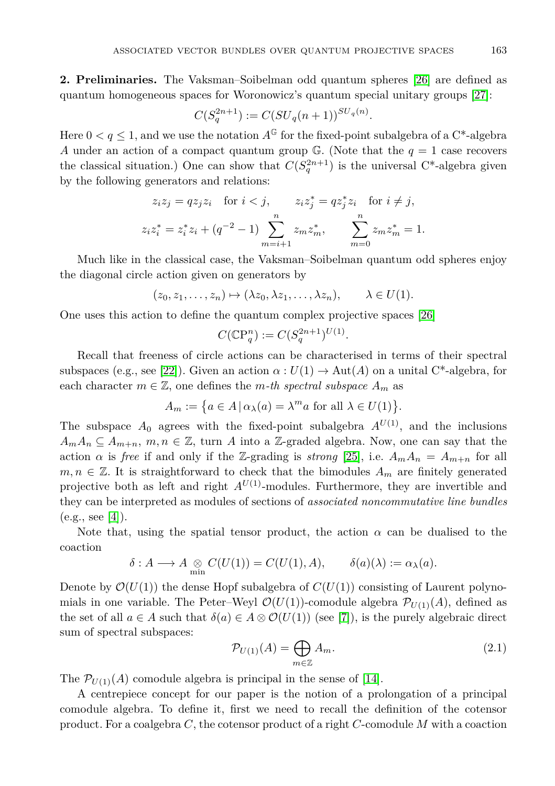**2. Preliminaries.** The Vaksman–Soibelman odd quantum spheres [\[26\]](#page-7-2) are defined as quantum homogeneous spaces for Woronowicz's quantum special unitary groups [\[27\]](#page-7-3):

$$
C(S_q^{2n+1}) := C(SU_q(n+1))^{SU_q(n)}.
$$

Here  $0 < q \leq 1$ , and we use the notation  $A^{\mathbb{G}}$  for the fixed-point subalgebra of a C<sup>\*</sup>-algebra *A* under an action of a compact quantum group  $\mathbb{G}$ . (Note that the  $q = 1$  case recovers the classical situation.) One can show that  $C(S_q^{2n+1})$  is the universal C<sup>\*</sup>-algebra given by the following generators and relations:

$$
z_i z_j = q z_j z_i \quad \text{for } i < j, \qquad z_i z_j^* = q z_j^* z_i \quad \text{for } i \neq j,
$$
\n
$$
z_i z_i^* = z_i^* z_i + (q^{-2} - 1) \sum_{m=i+1}^n z_m z_m^*, \qquad \sum_{m=0}^n z_m z_m^* = 1.
$$

Much like in the classical case, the Vaksman–Soibelman quantum odd spheres enjoy the diagonal circle action given on generators by

$$
(z_0, z_1, \ldots, z_n) \mapsto (\lambda z_0, \lambda z_1, \ldots, \lambda z_n), \qquad \lambda \in U(1).
$$

One uses this action to define the quantum complex projective spaces [\[26\]](#page-7-2)

$$
C(\mathbb{C}\mathbb{P}^n_q) := C(S_q^{2n+1})^{U(1)}.
$$

Recall that freeness of circle actions can be characterised in terms of their spectral subspaces (e.g., see [\[22\]](#page-7-4)). Given an action  $\alpha: U(1) \to Aut(A)$  on a unital C<sup>\*</sup>-algebra, for each character  $m \in \mathbb{Z}$ , one defines the *m-th spectral subspace*  $A_m$  as

$$
A_m := \{ a \in A \, | \, \alpha_\lambda(a) = \lambda^m a \text{ for all } \lambda \in U(1) \}.
$$

The subspace  $A_0$  agrees with the fixed-point subalgebra  $A^{U(1)}$ , and the inclusions  $A_m A_n \subseteq A_{m+n}$ ,  $m, n \in \mathbb{Z}$ , turn *A* into a Z-graded algebra. Now, one can say that the action *α* is *free* if and only if the Z-grading is *strong* [\[25\]](#page-7-5), i.e.  $A_m A_n = A_{m+n}$  for all  $m, n \in \mathbb{Z}$ . It is straightforward to check that the bimodules  $A_m$  are finitely generated projective both as left and right  $A^{U(1)}$ -modules. Furthermore, they are invertible and they can be interpreted as modules of sections of *associated noncommutative line bundles*  $(e.g., see [4]).$  $(e.g., see [4]).$  $(e.g., see [4]).$ 

Note that, using the spatial tensor product, the action  $\alpha$  can be dualised to the coaction

$$
\delta: A \longrightarrow A \underset{\min}{\otimes} C(U(1)) = C(U(1), A), \qquad \delta(a)(\lambda) := \alpha_{\lambda}(a).
$$

Denote by  $\mathcal{O}(U(1))$  the dense Hopf subalgebra of  $C(U(1))$  consisting of Laurent polynomials in one variable. The Peter–Weyl  $\mathcal{O}(U(1))$ -comodule algebra  $\mathcal{P}_{U(1)}(A)$ , defined as the set of all  $a \in A$  such that  $\delta(a) \in A \otimes \mathcal{O}(U(1))$  (see [\[7\]](#page-6-13)), is the purely algebraic direct sum of spectral subspaces:

<span id="page-2-0"></span>
$$
\mathcal{P}_{U(1)}(A) = \bigoplus_{m \in \mathbb{Z}} A_m. \tag{2.1}
$$

The  $\mathcal{P}_{U(1)}(A)$  comodule algebra is principal in the sense of [\[14\]](#page-6-14).

A centrepiece concept for our paper is the notion of a prolongation of a principal comodule algebra. To define it, first we need to recall the definition of the cotensor product. For a coalgebra *C*, the cotensor product of a right *C*-comodule *M* with a coaction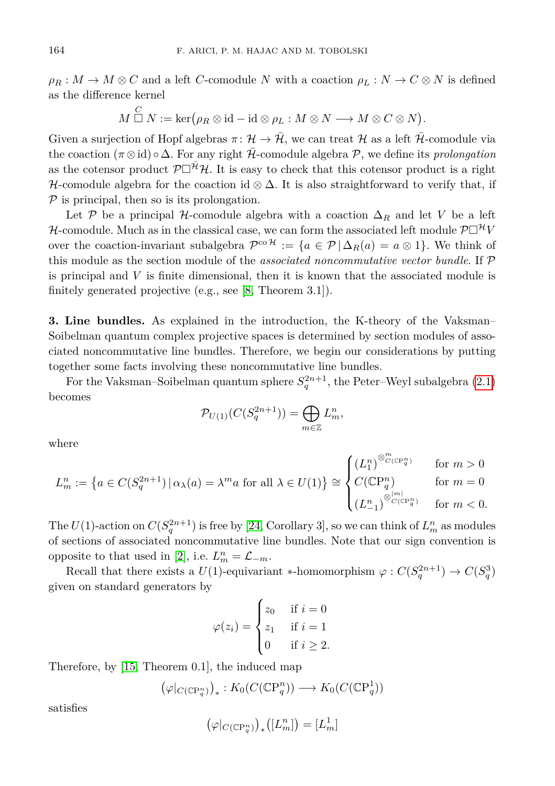$\rho_R$  :  $M \to M \otimes C$  and a left *C*-comodule *N* with a coaction  $\rho_L$  :  $N \to C \otimes N$  is defined as the difference kernel

$$
M \overset{C}{\Box} N := \ker(\rho_R \otimes \mathrm{id} - \mathrm{id} \otimes \rho_L : M \otimes N \longrightarrow M \otimes C \otimes N).
$$

Given a surjection of Hopf algebras  $\pi: \mathcal{H} \to \overline{\mathcal{H}}$ , we can treat H as a left  $\overline{\mathcal{H}}$ -comodule via the coaction  $(\pi \otimes id) \circ \Delta$ . For any right  $\overline{\mathcal{H}}$ -comodule algebra  $\mathcal{P}$ , we define its *prolongation* as the cotensor product  $\mathcal{P}\Box^{\mathcal{H}}\mathcal{H}$ . It is easy to check that this cotensor product is a right H-comodule algebra for the coaction id  $\otimes \Delta$ . It is also straightforward to verify that, if  $P$  is principal, then so is its prolongation.

Let P be a principal H-comodule algebra with a coaction  $\Delta_R$  and let V be a left H-comodule. Much as in the classical case, we can form the associated left module  $\mathcal{P}\Box^{\mathcal{H}}V$ over the coaction-invariant subalgebra  $\mathcal{P}^{co\,\mathcal{H}} := \{a \in \mathcal{P} \mid \Delta_R(a) = a \otimes 1\}$ . We think of this module as the section module of the *associated noncommutative vector bundle*. If P is principal and *V* is finite dimensional, then it is known that the associated module is finitely generated projective (e.g., see [\[8,](#page-6-15) Theorem 3.1]).

**3. Line bundles.** As explained in the introduction, the K-theory of the Vaksman– Soibelman quantum complex projective spaces is determined by section modules of associated noncommutative line bundles. Therefore, we begin our considerations by putting together some facts involving these noncommutative line bundles.

For the Vaksman–Soibelman quantum sphere  $S_q^{2n+1}$ , the Peter–Weyl subalgebra [\(2.1\)](#page-2-0) becomes

$$
\mathcal{P}_{U(1)}(C(S_q^{2n+1})) = \bigoplus_{m \in \mathbb{Z}} L_m^n,
$$

where

$$
L^n_m:=\left\{a\in C(S^{2n+1}_q)\,|\,\alpha_\lambda(a)=\lambda^ma\text{ for all }\lambda\in U(1)\right\}\cong\begin{cases} \left(L_1^n\right)^{\otimes^m_{C(\mathbb{CP}^n_q)}}&\text{ for }m>0\\ C(\mathbb{CP}^n_q) &\text{ for }m=0\\ \left(L_{-1}^n\right)^{\otimes^m_{C(\mathbb{CP}^n_q)}}&\text{ for }m<0. \end{cases}
$$

The  $U(1)$ -action on  $C(S_q^{2n+1})$  is free by [\[24,](#page-7-6) Corollary 3], so we can think of  $L_m^n$  as modules of sections of associated noncommutative line bundles. Note that our sign convention is opposite to that used in [\[2\]](#page-6-3), i.e.  $L_m^n = \mathcal{L}_{-m}$ .

Recall that there exists a  $U(1)$ -equivariant \*-homomorphism  $\varphi : C(S_q^{2n+1}) \to C(S_q^3)$ given on standard generators by

$$
\varphi(z_i) = \begin{cases} z_0 & \text{if } i = 0 \\ z_1 & \text{if } i = 1 \\ 0 & \text{if } i \ge 2. \end{cases}
$$

Therefore, by [\[15,](#page-6-16) Theorem 0.1], the induced map

$$
(\varphi|_{C(\mathbb{C}\mathrm{P}^n_q)})_* : K_0(C(\mathbb{C}\mathrm{P}^n_q)) \longrightarrow K_0(C(\mathbb{C}\mathrm{P}^1_q))
$$

satisfies

$$
(\varphi|_{C(\mathbb{C}\mathrm{P}^n_q)})_*([L^n_m]) = [L^1_m]
$$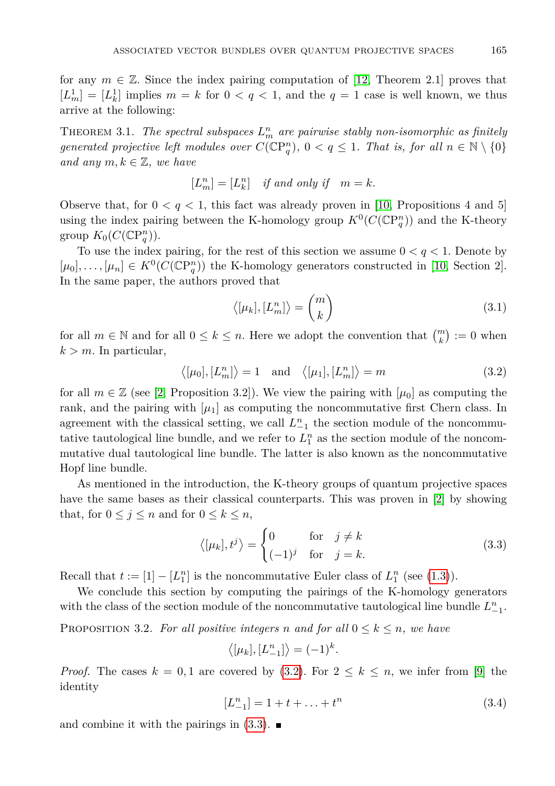for any  $m \in \mathbb{Z}$ . Since the index pairing computation of [\[12,](#page-6-17) Theorem 2.1] proves that  $[L<sub>m</sub><sup>1</sup>] = [L<sub>k</sub><sup>1</sup>]$  implies  $m = k$  for  $0 < q < 1$ , and the  $q = 1$  case is well known, we thus arrive at the following:

THEOREM 3.1. *The spectral subspaces*  $L_m^n$  are pairwise stably non-isomorphic as finitely *generated projective left modules over*  $C(\mathbb{C}P_q^n)$ ,  $0 < q \leq 1$ . That is, for all  $n \in \mathbb{N} \setminus \{0\}$ *and any*  $m, k \in \mathbb{Z}$ *, we have* 

$$
[L^n_m]=[L^n_k]\quad \textit{if and only if}\quad m=k.
$$

Observe that, for  $0 < q < 1$ , this fact was already proven in [\[10,](#page-6-18) Propositions 4 and 5] using the index pairing between the K-homology group  $K^0(C(\mathbb{C}P_q^n))$  and the K-theory group  $K_0(C(\mathbb{C}P^n_q)).$ 

To use the index pairing, for the rest of this section we assume 0 *< q <* 1. Denote by  $[\mu_0], \ldots, [\mu_n] \in K^0(C(\mathbb{CP}^n_q))$  the K-homology generators constructed in [\[10,](#page-6-18) Section 2]. In the same paper, the authors proved that

<span id="page-4-3"></span><span id="page-4-0"></span>
$$
\langle [\mu_k], [L_m^n] \rangle = \binom{m}{k} \tag{3.1}
$$

for all  $m \in \mathbb{N}$  and for all  $0 \leq k \leq n$ . Here we adopt the convention that  $\binom{m}{k} := 0$  when  $k > m$ . In particular,

$$
\langle [\mu_0], [L_m^n] \rangle = 1
$$
 and  $\langle [\mu_1], [L_m^n] \rangle = m$  (3.2)

for all  $m \in \mathbb{Z}$  (see [\[2,](#page-6-3) Proposition 3.2]). We view the pairing with  $\mu_0$  as computing the rank, and the pairing with  $\mu_1$  as computing the noncommutative first Chern class. In agreement with the classical setting, we call  $L_{-1}^n$  the section module of the noncommutative tautological line bundle, and we refer to  $L_1^n$  as the section module of the noncommutative dual tautological line bundle. The latter is also known as the noncommutative Hopf line bundle.

As mentioned in the introduction, the K-theory groups of quantum projective spaces have the same bases as their classical counterparts. This was proven in [\[2\]](#page-6-3) by showing that, for  $0 \leq j \leq n$  and for  $0 \leq k \leq n$ ,

<span id="page-4-1"></span>
$$
\langle [\mu_k], t^j \rangle = \begin{cases} 0 & \text{for } j \neq k \\ (-1)^j & \text{for } j = k. \end{cases}
$$
 (3.3)

Recall that  $t := [1] - [L_1^n]$  is the noncommutative Euler class of  $L_1^n$  (see [\(1.3\)](#page-1-1)).

We conclude this section by computing the pairings of the K-homology generators with the class of the section module of the noncommutative tautological line bundle  $L_{-1}^n$ .

<span id="page-4-4"></span>**PROPOSITION 3.2.** For all positive integers *n* and for all  $0 \leq k \leq n$ , we have

$$
\langle [\mu_k], [L_{-1}^n] \rangle = (-1)^k.
$$

<span id="page-4-2"></span>*Proof.* The cases  $k = 0, 1$  are covered by [\(3.2\)](#page-4-0). For  $2 \leq k \leq n$ , we infer from [\[9\]](#page-6-19) the identity

$$
[L_{-1}^n] = 1 + t + \dots + t^n \tag{3.4}
$$

and combine it with the pairings in  $(3.3)$ .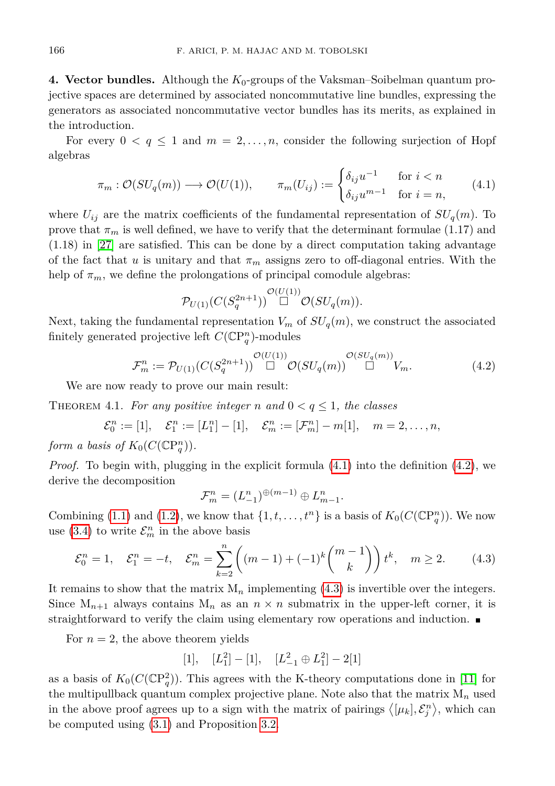**4. Vector bundles.** Although the *K*0-groups of the Vaksman–Soibelman quantum projective spaces are determined by associated noncommutative line bundles, expressing the generators as associated noncommutative vector bundles has its merits, as explained in the introduction.

For every  $0 \le q \le 1$  and  $m = 2, \ldots, n$ , consider the following surjection of Hopf algebras

<span id="page-5-0"></span>
$$
\pi_m : \mathcal{O}(SU_q(m)) \longrightarrow \mathcal{O}(U(1)), \qquad \pi_m(U_{ij}) := \begin{cases} \delta_{ij}u^{-1} & \text{for } i < n \\ \delta_{ij}u^{m-1} & \text{for } i = n, \end{cases} \tag{4.1}
$$

where  $U_{ij}$  are the matrix coefficients of the fundamental representation of  $SU_q(m)$ . To prove that  $\pi_m$  is well defined, we have to verify that the determinant formulae (1.17) and (1.18) in [\[27\]](#page-7-3) are satisfied. This can be done by a direct computation taking advantage of the fact that *u* is unitary and that  $\pi_m$  assigns zero to off-diagonal entries. With the help of  $\pi_m$ , we define the prolongations of principal comodule algebras:

<span id="page-5-1"></span>
$$
\mathcal{P}_{U(1)}(C(S_q^{2n+1})) \overset{\mathcal{O}(U(1))}{\Box} \mathcal{O}(SU_q(m)).
$$

Next, taking the fundamental representation  $V_m$  of  $SU_q(m)$ , we construct the associated finitely generated projective left  $C(\mathbb{C}P_q^n)$ -modules

$$
\mathcal{F}_m^n := \mathcal{P}_{U(1)}(C(S_q^{2n+1})) \overset{\mathcal{O}(U(1))}{\Box} \mathcal{O}(SU_q(m)) \overset{\mathcal{O}(SU_q(m))}{\Box} V_m.
$$
\n(4.2)

We are now ready to prove our main result:

THEOREM 4.1. For any positive integer *n* and  $0 < q \leq 1$ , the classes

 $\mathcal{E}_0^n := [1], \quad \mathcal{E}_1^n := [L_1^n] - [1], \quad \mathcal{E}_m^n := [\mathcal{F}_m^n] - m[1], \quad m = 2, \ldots, n,$ 

*form a basis of*  $K_0(C(\mathbb{C}P_q^n))$ *.* 

*Proof.* To begin with, plugging in the explicit formula [\(4.1\)](#page-5-0) into the definition [\(4.2\)](#page-5-1), we derive the decomposition

<span id="page-5-2"></span>
$$
\mathcal{F}_m^n = (L_{-1}^n)^{\oplus (m-1)} \oplus L_{m-1}^n.
$$

Combining [\(1.1\)](#page-0-0) and [\(1.2\)](#page-1-2), we know that  $\{1, t, \ldots, t^n\}$  is a basis of  $K_0(C(\mathbb{C}P_q^n))$ . We now use [\(3.4\)](#page-4-2) to write  $\mathcal{E}_m^n$  in the above basis

$$
\mathcal{E}_0^n = 1, \quad \mathcal{E}_1^n = -t, \quad \mathcal{E}_m^n = \sum_{k=2}^n \left( (m-1) + (-1)^k \binom{m-1}{k} \right) t^k, \quad m \ge 2. \tag{4.3}
$$

It remains to show that the matrix  $M_n$  implementing  $(4.3)$  is invertible over the integers. Since  $M_{n+1}$  always contains  $M_n$  as an  $n \times n$  submatrix in the upper-left corner, it is straightforward to verify the claim using elementary row operations and induction.

For  $n = 2$ , the above theorem yields

$$
[1], \quad [L_1^2] - [1], \quad [L_{-1}^2 \oplus L_1^2] - 2[1]
$$

as a basis of  $K_0(C(\mathbb{C}P_q^2))$ . This agrees with the K-theory computations done in [\[11\]](#page-6-6) for the multipullback quantum complex projective plane. Note also that the matrix  $M_n$  used in the above proof agrees up to a sign with the matrix of pairings  $\langle [\mu_k], \mathcal{E}_j^n \rangle$ , which can be computed using [\(3.1\)](#page-4-3) and Proposition [3.2.](#page-4-4)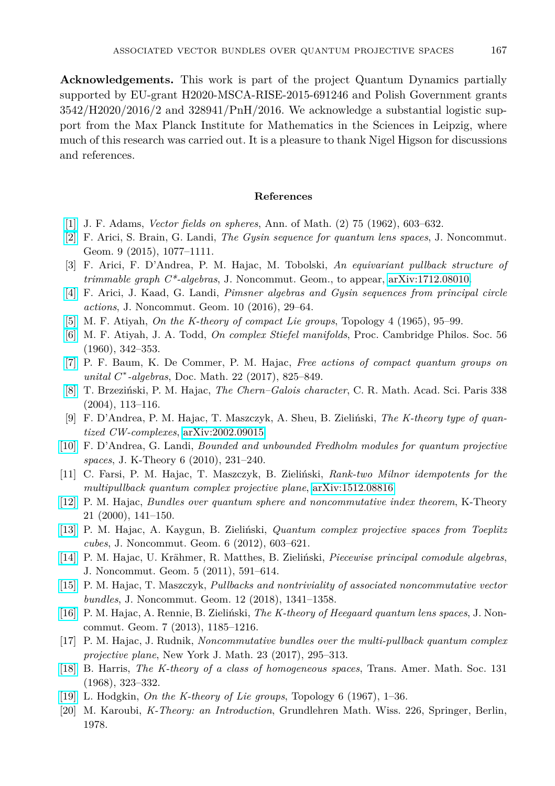**Acknowledgements.** This work is part of the project Quantum Dynamics partially supported by EU-grant H2020-MSCA-RISE-2015-691246 and Polish Government grants 3542/H2020/2016/2 and 328941/PnH/2016. We acknowledge a substantial logistic support from the Max Planck Institute for Mathematics in the Sciences in Leipzig, where much of this research was carried out. It is a pleasure to thank Nigel Higson for discussions and references.

## **References**

- <span id="page-6-1"></span>[\[1\]](http://dx.doi.org/10.2307/1970213) J. F. Adams, *Vector fields on spheres*, Ann. of Math. (2) 75 (1962), 603–632.
- <span id="page-6-3"></span>[\[2\]](http://dx.doi.org/10.4171/JNCG/) F. Arici, S. Brain, G. Landi, *The Gysin sequence for quantum lens spaces*, J. Noncommut. Geom. 9 (2015), 1077–1111.
- <span id="page-6-8"></span>[3] F. Arici, F. D'Andrea, P. M. Hajac, M. Tobolski, *An equivariant pullback structure of trimmable graph C\*-algebras*, J. Noncommut. Geom., to appear, [arXiv:1712.08010.](http://arxiv.org/abs/1712.08010)
- <span id="page-6-12"></span>[\[4\]](http://dx.doi.org/10.4171/JNCG/) F. Arici, J. Kaad, G. Landi, *Pimsner algebras and Gysin sequences from principal circle actions*, J. Noncommut. Geom. 10 (2016), 29–64.
- <span id="page-6-11"></span>[\[5\]](http://dx.doi.org/10.1016/0040-9383(65)90051-0) M. F. Atiyah, *On the K-theory of compact Lie groups*, Topology 4 (1965), 95–99.
- <span id="page-6-0"></span>[\[6\]](http://dx.doi.org/10.1017/s0305004100034642) M. F. Atiyah, J. A. Todd, *On complex Stiefel manifolds*, Proc. Cambridge Philos. Soc. 56 (1960), 342–353.
- <span id="page-6-13"></span>[\[7\]](http://dx.doi.org/10.25537/dm.2017v22.825-849) P. F. Baum, K. De Commer, P. M. Hajac, *Free actions of compact quantum groups on unital C* ∗ *-algebras*, Doc. Math. 22 (2017), 825–849.
- <span id="page-6-15"></span>[\[8\]](http://dx.doi.org/10.1016/j.crma.2003.11.009) T. Brzeziński, P. M. Hajac, *The Chern–Galois character*, C. R. Math. Acad. Sci. Paris 338 (2004), 113–116.
- <span id="page-6-19"></span>[9] F. D'Andrea, P. M. Hajac, T. Maszczyk, A. Sheu, B. Zieliński, *The K-theory type of quantized CW-complexes*, [arXiv:2002.09015.](http://arxiv.org/abs/2002.09015)
- <span id="page-6-18"></span>[\[10\]](http://dx.doi.org/10.1017/is010001012jkt102) F. D'Andrea, G. Landi, *Bounded and unbounded Fredholm modules for quantum projective spaces*, J. K-Theory 6 (2010), 231–240.
- <span id="page-6-6"></span>[11] C. Farsi, P. M. Hajac, T. Maszczyk, B. Zieliński, *Rank-two Milnor idempotents for the multipullback quantum complex projective plane*, [arXiv:1512.08816.](http://arxiv.org/abs/1512.08816)
- <span id="page-6-17"></span>[\[12\]](http://dx.doi.org/10.1023/A:1007824201738) P. M. Hajac, *Bundles over quantum sphere and noncommutative index theorem*, K-Theory 21 (2000), 141–150.
- <span id="page-6-4"></span>[\[13\]](http://dx.doi.org/10.4171/JNCG/100) P. M. Hajac, A. Kaygun, B. Zieliński, *Quantum complex projective spaces from Toeplitz cubes*, J. Noncommut. Geom. 6 (2012), 603–621.
- <span id="page-6-14"></span>[\[14\]](http://dx.doi.org/10.4171/JNCG/88) P. M. Hajac, U. Krähmer, R. Matthes, B. Zieliński, *Piecewise principal comodule algebras*, J. Noncommut. Geom. 5 (2011), 591–614.
- <span id="page-6-16"></span>[\[15\]](http://dx.doi.org/10.4171/JNCG/) P. M. Hajac, T. Maszczyk, *Pullbacks and nontriviality of associated noncommutative vector bundles*, J. Noncommut. Geom. 12 (2018), 1341–1358.
- <span id="page-6-7"></span>[\[16\]](http://dx.doi.org/10.4171/JNCG/146) P. M. Hajac, A. Rennie, B. Zieliński, *The K-theory of Heegaard quantum lens spaces*, J. Noncommut. Geom. 7 (2013), 1185–1216.
- <span id="page-6-5"></span>[17] P. M. Hajac, J. Rudnik, *Noncommutative bundles over the multi-pullback quantum complex projective plane*, New York J. Math. 23 (2017), 295–313.
- <span id="page-6-9"></span>[\[18\]](http://dx.doi.org/10.2307/1994949) B. Harris, *The K-theory of a class of homogeneous spaces*, Trans. Amer. Math. Soc. 131 (1968), 323–332.
- <span id="page-6-10"></span>[\[19\]](http://dx.doi.org/10.1016/0040-9383(67)90010-9) L. Hodgkin, *On the K-theory of Lie groups*, Topology 6 (1967), 1–36.
- <span id="page-6-2"></span>[20] M. Karoubi, *K-Theory: an Introduction*, Grundlehren Math. Wiss. 226, Springer, Berlin, 1978.